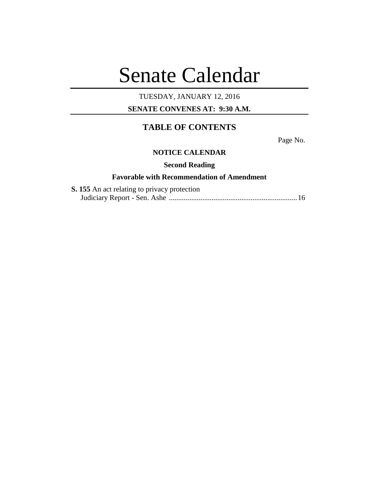# Senate Calendar

# TUESDAY, JANUARY 12, 2016

# **SENATE CONVENES AT: 9:30 A.M.**

# **TABLE OF CONTENTS**

Page No.

# **NOTICE CALENDAR**

# **Second Reading**

# **Favorable with Recommendation of Amendment**

| <b>S. 155</b> An act relating to privacy protection |  |
|-----------------------------------------------------|--|
|                                                     |  |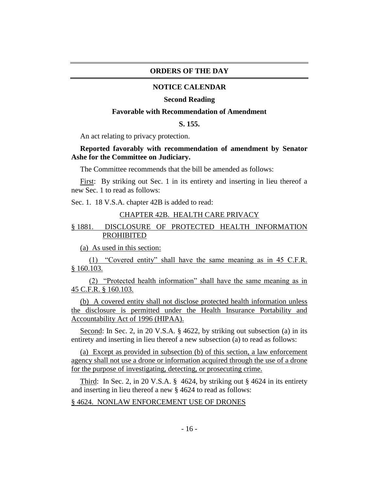#### **ORDERS OF THE DAY**

#### **NOTICE CALENDAR**

#### **Second Reading**

#### **Favorable with Recommendation of Amendment**

## **S. 155.**

An act relating to privacy protection.

#### **Reported favorably with recommendation of amendment by Senator Ashe for the Committee on Judiciary.**

The Committee recommends that the bill be amended as follows:

First: By striking out Sec. 1 in its entirety and inserting in lieu thereof a new Sec. 1 to read as follows:

Sec. 1. 18 V.S.A. chapter 42B is added to read:

#### CHAPTER 42B. HEALTH CARE PRIVACY

# § 1881. DISCLOSURE OF PROTECTED HEALTH INFORMATION PROHIBITED

(a) As used in this section:

(1) "Covered entity" shall have the same meaning as in 45 C.F.R. § 160.103.

(2) "Protected health information" shall have the same meaning as in 45 C.F.R. § 160.103.

(b) A covered entity shall not disclose protected health information unless the disclosure is permitted under the Health Insurance Portability and Accountability Act of 1996 (HIPAA).

Second: In Sec. 2, in 20 V.S.A. § 4622, by striking out subsection (a) in its entirety and inserting in lieu thereof a new subsection (a) to read as follows:

(a) Except as provided in subsection (b) of this section, a law enforcement agency shall not use a drone or information acquired through the use of a drone for the purpose of investigating, detecting, or prosecuting crime.

Third: In Sec. 2, in 20 V.S.A. § 4624, by striking out § 4624 in its entirety and inserting in lieu thereof a new § 4624 to read as follows:

#### § 4624. NONLAW ENFORCEMENT USE OF DRONES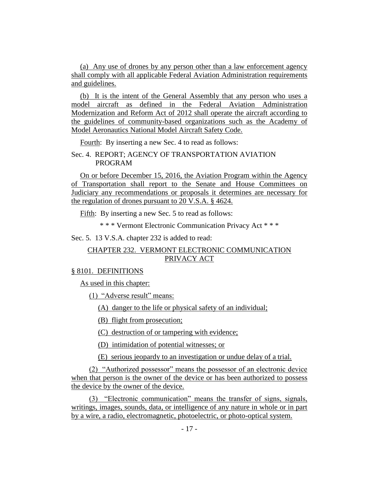(a) Any use of drones by any person other than a law enforcement agency shall comply with all applicable Federal Aviation Administration requirements and guidelines.

(b) It is the intent of the General Assembly that any person who uses a model aircraft as defined in the Federal Aviation Administration Modernization and Reform Act of 2012 shall operate the aircraft according to the guidelines of community-based organizations such as the Academy of Model Aeronautics National Model Aircraft Safety Code.

Fourth: By inserting a new Sec. 4 to read as follows:

Sec. 4. REPORT; AGENCY OF TRANSPORTATION AVIATION PROGRAM

On or before December 15, 2016, the Aviation Program within the Agency of Transportation shall report to the Senate and House Committees on Judiciary any recommendations or proposals it determines are necessary for the regulation of drones pursuant to 20 V.S.A. § 4624.

Fifth: By inserting a new Sec. 5 to read as follows:

\* \* \* Vermont Electronic Communication Privacy Act \* \* \*

Sec. 5. 13 V.S.A. chapter 232 is added to read:

# CHAPTER 232. VERMONT ELECTRONIC COMMUNICATION PRIVACY ACT

#### § 8101. DEFINITIONS

As used in this chapter:

(1) "Adverse result" means:

(A) danger to the life or physical safety of an individual;

(B) flight from prosecution;

(C) destruction of or tampering with evidence;

(D) intimidation of potential witnesses; or

(E) serious jeopardy to an investigation or undue delay of a trial.

(2) "Authorized possessor" means the possessor of an electronic device when that person is the owner of the device or has been authorized to possess the device by the owner of the device.

(3) "Electronic communication" means the transfer of signs, signals, writings, images, sounds, data, or intelligence of any nature in whole or in part by a wire, a radio, electromagnetic, photoelectric, or photo-optical system.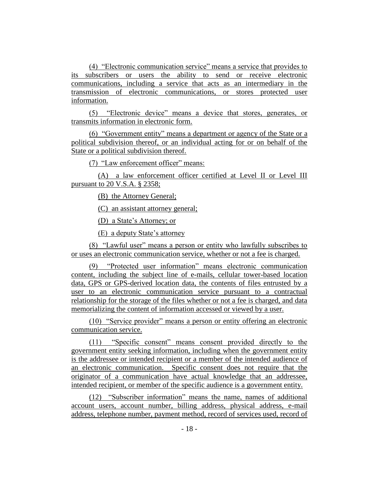(4) "Electronic communication service" means a service that provides to its subscribers or users the ability to send or receive electronic communications, including a service that acts as an intermediary in the transmission of electronic communications, or stores protected user information.

(5) "Electronic device" means a device that stores, generates, or transmits information in electronic form.

(6) "Government entity" means a department or agency of the State or a political subdivision thereof, or an individual acting for or on behalf of the State or a political subdivision thereof.

(7) "Law enforcement officer" means:

(A) a law enforcement officer certified at Level II or Level III pursuant to 20 V.S.A. § 2358;

(B) the Attorney General;

(C) an assistant attorney general;

(D) a State's Attorney; or

(E) a deputy State's attorney

(8) "Lawful user" means a person or entity who lawfully subscribes to or uses an electronic communication service, whether or not a fee is charged.

(9) "Protected user information" means electronic communication content, including the subject line of e-mails, cellular tower-based location data, GPS or GPS-derived location data, the contents of files entrusted by a user to an electronic communication service pursuant to a contractual relationship for the storage of the files whether or not a fee is charged, and data memorializing the content of information accessed or viewed by a user.

(10) "Service provider" means a person or entity offering an electronic communication service.

(11) "Specific consent" means consent provided directly to the government entity seeking information, including when the government entity is the addressee or intended recipient or a member of the intended audience of an electronic communication. Specific consent does not require that the originator of a communication have actual knowledge that an addressee, intended recipient, or member of the specific audience is a government entity.

(12) "Subscriber information" means the name, names of additional account users, account number, billing address, physical address, e-mail address, telephone number, payment method, record of services used, record of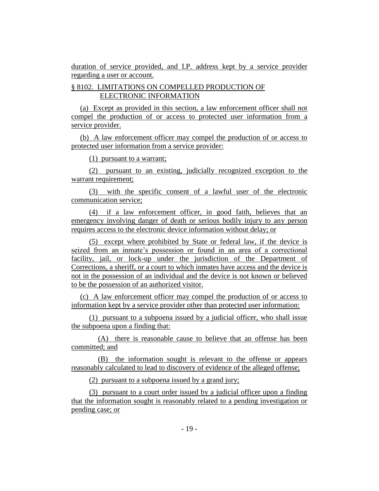duration of service provided, and I.P. address kept by a service provider regarding a user or account.

# § 8102. LIMITATIONS ON COMPELLED PRODUCTION OF ELECTRONIC INFORMATION

(a) Except as provided in this section, a law enforcement officer shall not compel the production of or access to protected user information from a service provider.

(b) A law enforcement officer may compel the production of or access to protected user information from a service provider:

(1) pursuant to a warrant;

(2) pursuant to an existing, judicially recognized exception to the warrant requirement;

(3) with the specific consent of a lawful user of the electronic communication service;

(4) if a law enforcement officer, in good faith, believes that an emergency involving danger of death or serious bodily injury to any person requires access to the electronic device information without delay; or

(5) except where prohibited by State or federal law, if the device is seized from an inmate's possession or found in an area of a correctional facility, jail, or lock-up under the jurisdiction of the Department of Corrections, a sheriff, or a court to which inmates have access and the device is not in the possession of an individual and the device is not known or believed to be the possession of an authorized visitor.

(c) A law enforcement officer may compel the production of or access to information kept by a service provider other than protected user information:

(1) pursuant to a subpoena issued by a judicial officer, who shall issue the subpoena upon a finding that:

(A) there is reasonable cause to believe that an offense has been committed; and

(B) the information sought is relevant to the offense or appears reasonably calculated to lead to discovery of evidence of the alleged offense;

(2) pursuant to a subpoena issued by a grand jury;

(3) pursuant to a court order issued by a judicial officer upon a finding that the information sought is reasonably related to a pending investigation or pending case; or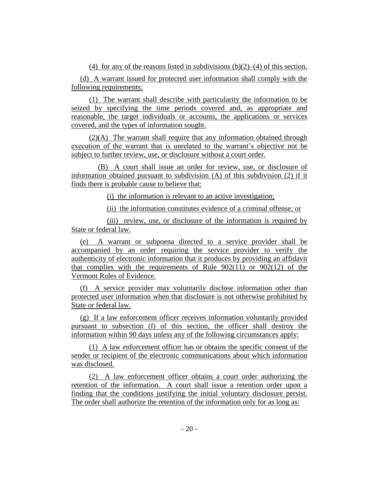(4) for any of the reasons listed in subdivisions  $(b)(2)$ –(4) of this section.

(d) A warrant issued for protected user information shall comply with the following requirements:

(1) The warrant shall describe with particularity the information to be seized by specifying the time periods covered and, as appropriate and reasonable, the target individuals or accounts, the applications or services covered, and the types of information sought.

(2)(A) The warrant shall require that any information obtained through execution of the warrant that is unrelated to the warrant's objective not be subject to further review, use, or disclosure without a court order.

(B) A court shall issue an order for review, use, or disclosure of information obtained pursuant to subdivision (A) of this subdivision (2) if it finds there is probable cause to believe that:

(i) the information is relevant to an active investigation;

(ii) the information constitutes evidence of a criminal offense; or

(iii) review, use, or disclosure of the information is required by State or federal law.

(e) A warrant or subpoena directed to a service provider shall be accompanied by an order requiring the service provider to verify the authenticity of electronic information that it produces by providing an affidavit that complies with the requirements of Rule  $902(11)$  or  $902(12)$  of the Vermont Rules of Evidence.

(f) A service provider may voluntarily disclose information other than protected user information when that disclosure is not otherwise prohibited by State or federal law.

(g) If a law enforcement officer receives information voluntarily provided pursuant to subsection (f) of this section, the officer shall destroy the information within 90 days unless any of the following circumstances apply:

(1) A law enforcement officer has or obtains the specific consent of the sender or recipient of the electronic communications about which information was disclosed.

(2) A law enforcement officer obtains a court order authorizing the retention of the information. A court shall issue a retention order upon a finding that the conditions justifying the initial voluntary disclosure persist. The order shall authorize the retention of the information only for as long as: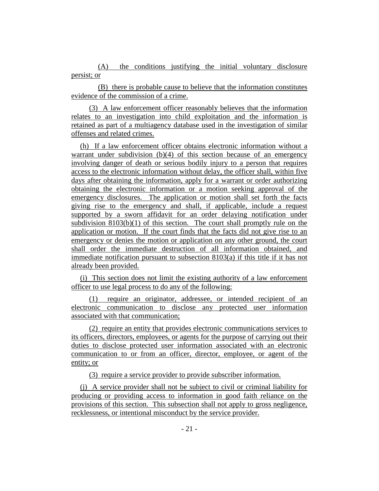(A) the conditions justifying the initial voluntary disclosure persist; or

(B) there is probable cause to believe that the information constitutes evidence of the commission of a crime.

(3) A law enforcement officer reasonably believes that the information relates to an investigation into child exploitation and the information is retained as part of a multiagency database used in the investigation of similar offenses and related crimes.

(h) If a law enforcement officer obtains electronic information without a warrant under subdivision  $(b)(4)$  of this section because of an emergency involving danger of death or serious bodily injury to a person that requires access to the electronic information without delay, the officer shall, within five days after obtaining the information, apply for a warrant or order authorizing obtaining the electronic information or a motion seeking approval of the emergency disclosures. The application or motion shall set forth the facts giving rise to the emergency and shall, if applicable, include a request supported by a sworn affidavit for an order delaying notification under subdivision 8103(b)(1) of this section. The court shall promptly rule on the application or motion. If the court finds that the facts did not give rise to an emergency or denies the motion or application on any other ground, the court shall order the immediate destruction of all information obtained, and immediate notification pursuant to subsection 8103(a) if this title if it has not already been provided.

(i) This section does not limit the existing authority of a law enforcement officer to use legal process to do any of the following:

(1) require an originator, addressee, or intended recipient of an electronic communication to disclose any protected user information associated with that communication;

(2) require an entity that provides electronic communications services to its officers, directors, employees, or agents for the purpose of carrying out their duties to disclose protected user information associated with an electronic communication to or from an officer, director, employee, or agent of the entity; or

(3) require a service provider to provide subscriber information.

(j) A service provider shall not be subject to civil or criminal liability for producing or providing access to information in good faith reliance on the provisions of this section. This subsection shall not apply to gross negligence, recklessness, or intentional misconduct by the service provider.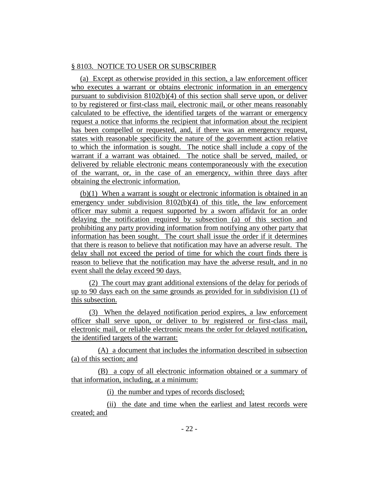## § 8103. NOTICE TO USER OR SUBSCRIBER

(a) Except as otherwise provided in this section, a law enforcement officer who executes a warrant or obtains electronic information in an emergency pursuant to subdivision  $8102(b)(4)$  of this section shall serve upon, or deliver to by registered or first-class mail, electronic mail, or other means reasonably calculated to be effective, the identified targets of the warrant or emergency request a notice that informs the recipient that information about the recipient has been compelled or requested, and, if there was an emergency request, states with reasonable specificity the nature of the government action relative to which the information is sought. The notice shall include a copy of the warrant if a warrant was obtained. The notice shall be served, mailed, or delivered by reliable electronic means contemporaneously with the execution of the warrant, or, in the case of an emergency, within three days after obtaining the electronic information.

(b)(1) When a warrant is sought or electronic information is obtained in an emergency under subdivision 8102(b)(4) of this title, the law enforcement officer may submit a request supported by a sworn affidavit for an order delaying the notification required by subsection (a) of this section and prohibiting any party providing information from notifying any other party that information has been sought. The court shall issue the order if it determines that there is reason to believe that notification may have an adverse result. The delay shall not exceed the period of time for which the court finds there is reason to believe that the notification may have the adverse result, and in no event shall the delay exceed 90 days.

(2) The court may grant additional extensions of the delay for periods of up to 90 days each on the same grounds as provided for in subdivision (1) of this subsection.

(3) When the delayed notification period expires, a law enforcement officer shall serve upon, or deliver to by registered or first-class mail, electronic mail, or reliable electronic means the order for delayed notification, the identified targets of the warrant:

(A) a document that includes the information described in subsection (a) of this section; and

(B) a copy of all electronic information obtained or a summary of that information, including, at a minimum:

(i) the number and types of records disclosed;

(ii) the date and time when the earliest and latest records were created; and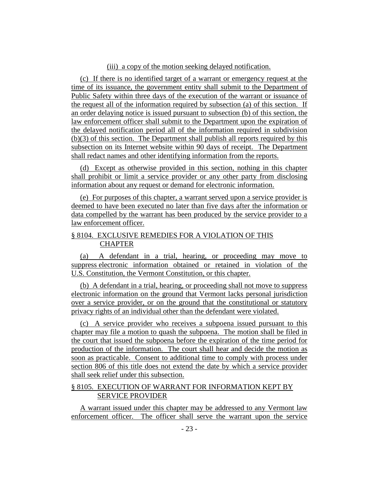#### (iii) a copy of the motion seeking delayed notification.

(c) If there is no identified target of a warrant or emergency request at the time of its issuance, the government entity shall submit to the Department of Public Safety within three days of the execution of the warrant or issuance of the request all of the information required by subsection (a) of this section. If an order delaying notice is issued pursuant to subsection (b) of this section, the law enforcement officer shall submit to the Department upon the expiration of the delayed notification period all of the information required in subdivision (b)(3) of this section. The Department shall publish all reports required by this subsection on its Internet website within 90 days of receipt. The Department shall redact names and other identifying information from the reports.

(d) Except as otherwise provided in this section, nothing in this chapter shall prohibit or limit a service provider or any other party from disclosing information about any request or demand for electronic information.

(e) For purposes of this chapter, a warrant served upon a service provider is deemed to have been executed no later than five days after the information or data compelled by the warrant has been produced by the service provider to a law enforcement officer.

#### § 8104. EXCLUSIVE REMEDIES FOR A VIOLATION OF THIS CHAPTER

(a) A defendant in a trial, hearing, or proceeding may move to suppress electronic information obtained or retained in violation of the U.S. Constitution, the Vermont Constitution, or this chapter.

(b) A defendant in a trial, hearing, or proceeding shall not move to suppress electronic information on the ground that Vermont lacks personal jurisdiction over a service provider, or on the ground that the constitutional or statutory privacy rights of an individual other than the defendant were violated.

(c) A service provider who receives a subpoena issued pursuant to this chapter may file a motion to quash the subpoena. The motion shall be filed in the court that issued the subpoena before the expiration of the time period for production of the information. The court shall hear and decide the motion as soon as practicable. Consent to additional time to comply with process under section 806 of this title does not extend the date by which a service provider shall seek relief under this subsection.

# § 8105. EXECUTION OF WARRANT FOR INFORMATION KEPT BY SERVICE PROVIDER

A warrant issued under this chapter may be addressed to any Vermont law enforcement officer. The officer shall serve the warrant upon the service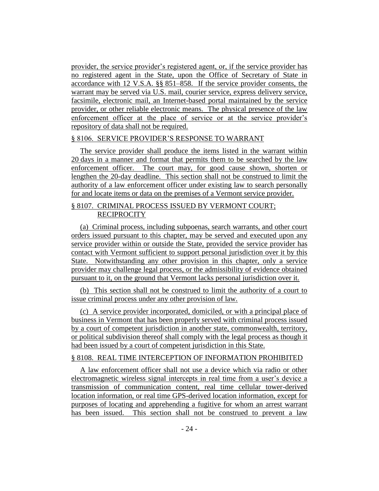provider, the service provider's registered agent, or, if the service provider has no registered agent in the State, upon the Office of Secretary of State in accordance with 12 V.S.A. §§ 851–858. If the service provider consents, the warrant may be served via U.S. mail, courier service, express delivery service, facsimile, electronic mail, an Internet-based portal maintained by the service provider, or other reliable electronic means. The physical presence of the law enforcement officer at the place of service or at the service provider's repository of data shall not be required.

#### § 8106. SERVICE PROVIDER'S RESPONSE TO WARRANT

The service provider shall produce the items listed in the warrant within 20 days in a manner and format that permits them to be searched by the law enforcement officer. The court may, for good cause shown, shorten or lengthen the 20-day deadline. This section shall not be construed to limit the authority of a law enforcement officer under existing law to search personally for and locate items or data on the premises of a Vermont service provider.

# § 8107. CRIMINAL PROCESS ISSUED BY VERMONT COURT; **RECIPROCITY**

(a) Criminal process, including subpoenas, search warrants, and other court orders issued pursuant to this chapter, may be served and executed upon any service provider within or outside the State, provided the service provider has contact with Vermont sufficient to support personal jurisdiction over it by this State. Notwithstanding any other provision in this chapter, only a service provider may challenge legal process, or the admissibility of evidence obtained pursuant to it, on the ground that Vermont lacks personal jurisdiction over it.

(b) This section shall not be construed to limit the authority of a court to issue criminal process under any other provision of law.

(c) A service provider incorporated, domiciled, or with a principal place of business in Vermont that has been properly served with criminal process issued by a court of competent jurisdiction in another state, commonwealth, territory, or political subdivision thereof shall comply with the legal process as though it had been issued by a court of competent jurisdiction in this State.

## § 8108. REAL TIME INTERCEPTION OF INFORMATION PROHIBITED

A law enforcement officer shall not use a device which via radio or other electromagnetic wireless signal intercepts in real time from a user's device a transmission of communication content, real time cellular tower-derived location information, or real time GPS-derived location information, except for purposes of locating and apprehending a fugitive for whom an arrest warrant has been issued. This section shall not be construed to prevent a law